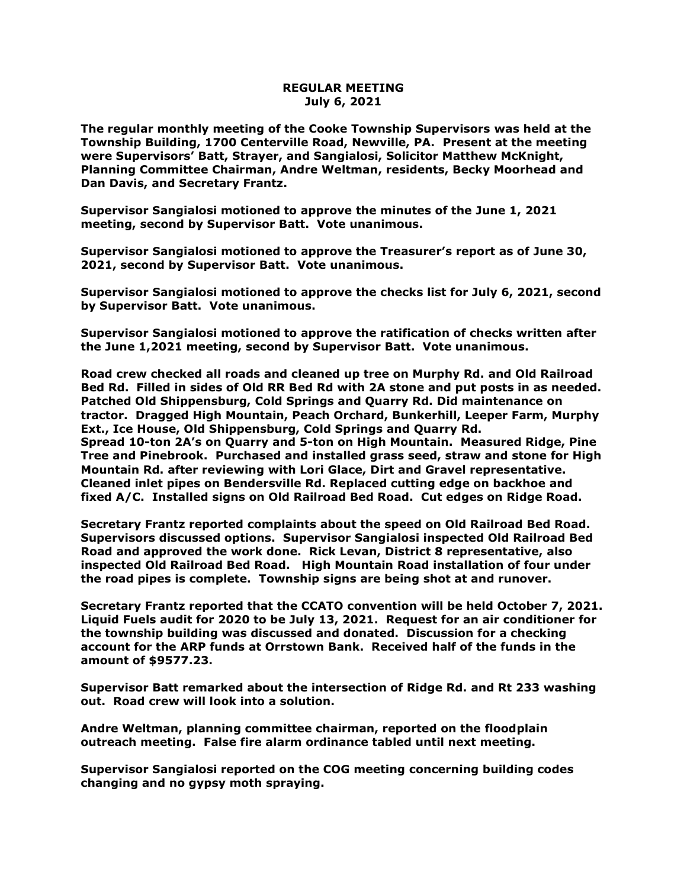## **REGULAR MEETING July 6, 2021**

**The regular monthly meeting of the Cooke Township Supervisors was held at the Township Building, 1700 Centerville Road, Newville, PA. Present at the meeting were Supervisors' Batt, Strayer, and Sangialosi, Solicitor Matthew McKnight, Planning Committee Chairman, Andre Weltman, residents, Becky Moorhead and Dan Davis, and Secretary Frantz.** 

**Supervisor Sangialosi motioned to approve the minutes of the June 1, 2021 meeting, second by Supervisor Batt. Vote unanimous.** 

**Supervisor Sangialosi motioned to approve the Treasurer's report as of June 30, 2021, second by Supervisor Batt. Vote unanimous.**

**Supervisor Sangialosi motioned to approve the checks list for July 6, 2021, second by Supervisor Batt. Vote unanimous.**

**Supervisor Sangialosi motioned to approve the ratification of checks written after the June 1,2021 meeting, second by Supervisor Batt. Vote unanimous.**

**Road crew checked all roads and cleaned up tree on Murphy Rd. and Old Railroad Bed Rd. Filled in sides of Old RR Bed Rd with 2A stone and put posts in as needed. Patched Old Shippensburg, Cold Springs and Quarry Rd. Did maintenance on tractor. Dragged High Mountain, Peach Orchard, Bunkerhill, Leeper Farm, Murphy Ext., Ice House, Old Shippensburg, Cold Springs and Quarry Rd. Spread 10-ton 2A's on Quarry and 5-ton on High Mountain. Measured Ridge, Pine Tree and Pinebrook. Purchased and installed grass seed, straw and stone for High Mountain Rd. after reviewing with Lori Glace, Dirt and Gravel representative. Cleaned inlet pipes on Bendersville Rd. Replaced cutting edge on backhoe and fixed A/C. Installed signs on Old Railroad Bed Road. Cut edges on Ridge Road.**

**Secretary Frantz reported complaints about the speed on Old Railroad Bed Road. Supervisors discussed options. Supervisor Sangialosi inspected Old Railroad Bed Road and approved the work done. Rick Levan, District 8 representative, also inspected Old Railroad Bed Road. High Mountain Road installation of four under the road pipes is complete. Township signs are being shot at and runover.** 

**Secretary Frantz reported that the CCATO convention will be held October 7, 2021. Liquid Fuels audit for 2020 to be July 13, 2021. Request for an air conditioner for the township building was discussed and donated. Discussion for a checking account for the ARP funds at Orrstown Bank. Received half of the funds in the amount of \$9577.23.**

**Supervisor Batt remarked about the intersection of Ridge Rd. and Rt 233 washing out. Road crew will look into a solution.**

**Andre Weltman, planning committee chairman, reported on the floodplain outreach meeting. False fire alarm ordinance tabled until next meeting.**

**Supervisor Sangialosi reported on the COG meeting concerning building codes changing and no gypsy moth spraying.**